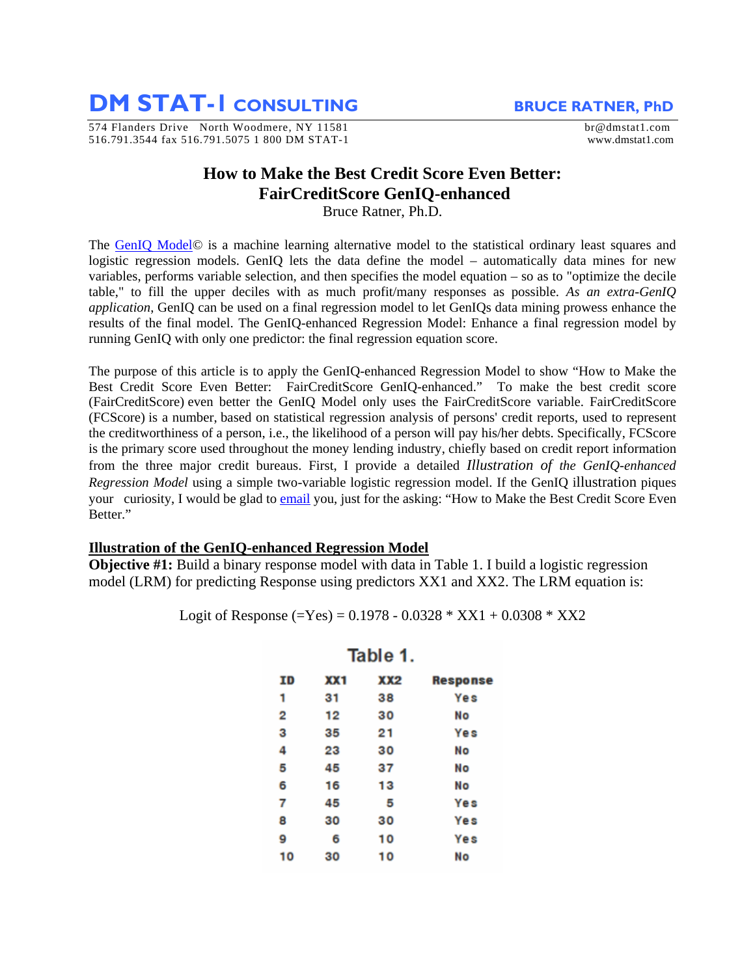**DM STAT-1 CONSULTING** BRUCE RATNER, PhD

574 Flanders Drive North Woodmere, NY 11581 br@dmstat1.com 516.791.3544 fax 516.791.5075 1 800 DM STAT-1 www.dmstat1.com

## **How to Make the Best Credit Score Even Better: FairCreditScore GenIQ-enhanced**

Bruce Ratner, Ph.D.

The [GenIQ Model](http://www.geniq.net/)© is a machine learning alternative model to the statistical ordinary least squares and logistic regression models. GenIQ lets the data define the model – automatically data mines for new variables, performs variable selection, and then specifies the model equation – so as to "optimize the decile table," to fill the upper deciles with as much profit/many responses as possible. *As an extra-GenIQ application*, GenIQ can be used on a final regression model to let GenIQs data mining prowess enhance the results of the final model. The GenIQ-enhanced Regression Model: Enhance a final regression model by running GenIQ with only one predictor: the final regression equation score.

The purpose of this article is to apply the GenIQ-enhanced Regression Model to show "How to Make the Best Credit Score Even Better: FairCreditScore GenIQ-enhanced." To make the best credit score (FairCreditScore) even better the GenIQ Model only uses the FairCreditScore variable. FairCreditScore (FCScore) is a number, based on statistical regression analysis of persons' credit reports, used to represent the creditworthiness of a person, i.e., the likelihood of a person will pay his/her debts. Specifically, FCScore is the primary score used throughout the money lending industry, chiefly based on credit report information from the three major credit bureaus. First, I provide a detailed *Illustration of the GenIQ-enhanced Regression Model* using a simple two-variable logistic regression model. If the GenIQ illustration piques your curiosity, I would be glad to [email](mailto:br@dmstat1.com?subject=I%20am%20piqued!%20Please%20send%20me%20How%20to%20Make%20the%20Best%20Credit%20Score%20Even%20Better.) you, just for the asking: "How to Make the Best Credit Score Even Better."

## **Illustration of the GenIQ-enhanced Regression Model**

**Objective #1:** Build a binary response model with data in Table 1. I build a logistic regression model (LRM) for predicting Response using predictors XX1 and XX2. The LRM equation is:

Logit of Response (=Yes) =  $0.1978 - 0.0328 * XX1 + 0.0308 * XX2$ 

| ID | XX1 | XX2 | <b>Response</b> |
|----|-----|-----|-----------------|
| 1  | 31  | 38  | Yes             |
| 2  | 12  | 30  | No              |
| 3  | 35  | 21  | Yes             |
| 4  | 23  | 30  | No              |
| 5  | 45  | 37  | No              |
| 6  | 16  | 13  | No              |
| 7  | 45  | 5   | <b>Yes</b>      |
| 8  | 30  | 30  | <b>Yes</b>      |
| 9  | 6   | 10  | Yes             |
| 10 | 30  | 10  | No              |

Table 1.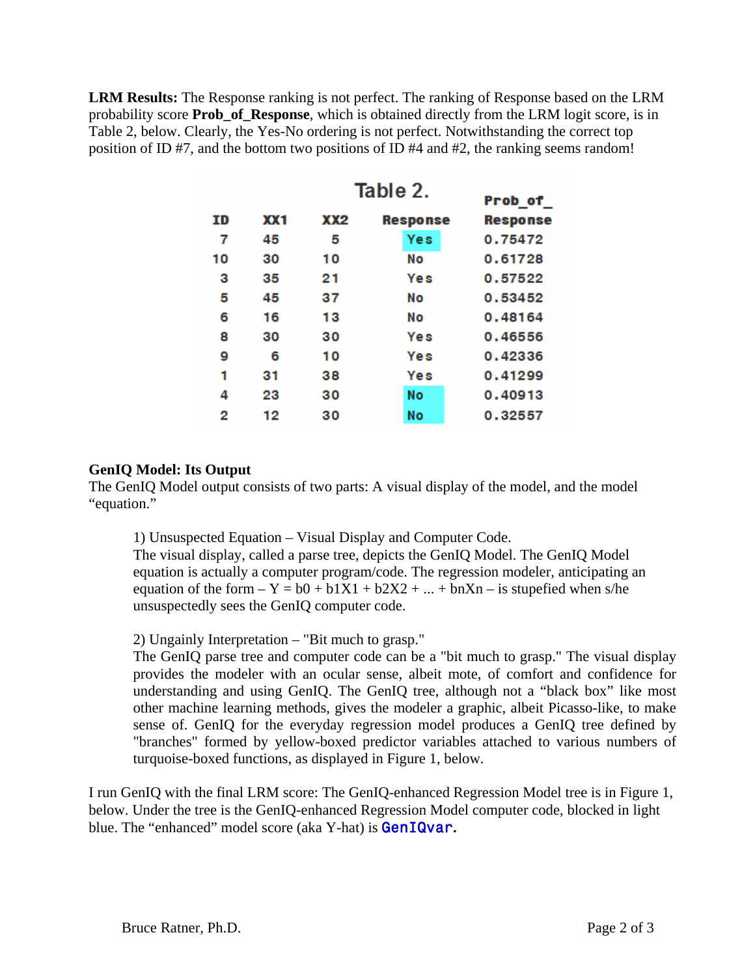**LRM Results:** The Response ranking is not perfect. The ranking of Response based on the LRM probability score **Prob\_of\_Response**, which is obtained directly from the LRM logit score, is in Table 2, below. Clearly, the Yes-No ordering is not perfect. Notwithstanding the correct top position of ID #7, and the bottom two positions of ID #4 and #2, the ranking seems random!

| Table 2.<br>Prob_of_ |     |     |                 |                 |  |  |  |  |
|----------------------|-----|-----|-----------------|-----------------|--|--|--|--|
| ΙD                   | XX1 | XX2 | <b>Response</b> | <b>Response</b> |  |  |  |  |
| 7                    | 45  | 5   | Yes             | 0.75472         |  |  |  |  |
| 10                   | 30  | 10  | Νo              | 0.61728         |  |  |  |  |
| з                    | 35  | 21  | Yes             | 0.57522         |  |  |  |  |
| 5                    | 45  | 37  | No              | 0.53452         |  |  |  |  |
| 6                    | 16  | 13  | Νo              | 0.48164         |  |  |  |  |
| 8                    | 30  | 30  | Yes             | 0.46556         |  |  |  |  |
| 9                    | 6   | 10  | Yes             | 0.42336         |  |  |  |  |
| 1                    | 31  | 38  | Yes             | 0.41299         |  |  |  |  |
| 4                    | 23  | 30  | Νo              | 0.40913         |  |  |  |  |
| 2                    | 12  | 30  | No              | 0.32557         |  |  |  |  |

## **GenIQ Model: Its Output**

The GenIQ Model output consists of two parts: A visual display of the model, and the model "equation."

1) Unsuspected Equation – Visual Display and Computer Code.

The visual display, called a parse tree, depicts the GenIQ Model. The GenIQ Model equation is actually a computer program/code. The regression modeler, anticipating an equation of the form  $-Y = b0 + b1X1 + b2X2 + ... + bnXn - is supported when s/he$ unsuspectedly sees the GenIQ computer code.

2) Ungainly Interpretation – "Bit much to grasp."

The GenIQ parse tree and computer code can be a "bit much to grasp." The visual display provides the modeler with an ocular sense, albeit mote, of comfort and confidence for understanding and using GenIQ. The GenIQ tree, although not a "black box" like most other machine learning methods, gives the modeler a graphic, albeit Picasso-like, to make sense of. GenIQ for the everyday regression model produces a GenIQ tree defined by "branches" formed by yellow-boxed predictor variables attached to various numbers of turquoise-boxed functions, as displayed in Figure 1, below.

I run GenIQ with the final LRM score: The GenIQ-enhanced Regression Model tree is in Figure 1, below. Under the tree is the GenIQ-enhanced Regression Model computer code, blocked in light blue. The "enhanced" model score (aka Y-hat) is GenIQvar**.**